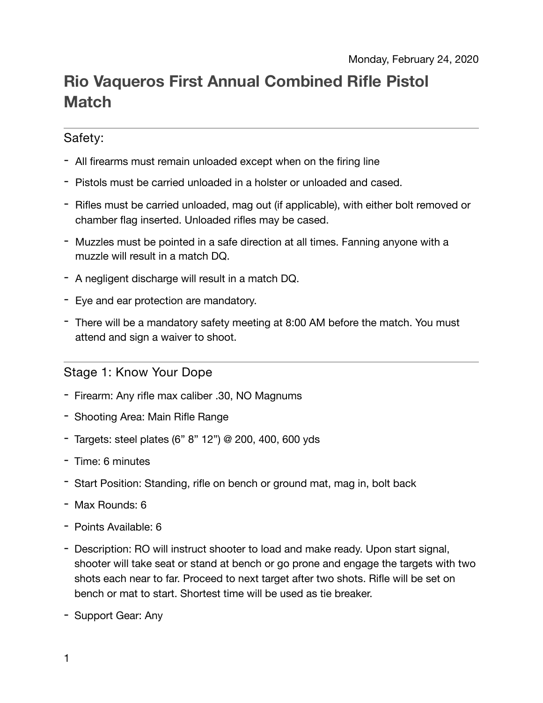# **Rio Vaqueros First Annual Combined Rifle Pistol Match**

## Safety:

- All firearms must remain unloaded except when on the firing line
- Pistols must be carried unloaded in a holster or unloaded and cased.
- Rifles must be carried unloaded, mag out (if applicable), with either bolt removed or chamber flag inserted. Unloaded rifles may be cased.
- Muzzles must be pointed in a safe direction at all times. Fanning anyone with a muzzle will result in a match DQ.
- A negligent discharge will result in a match DQ.
- Eye and ear protection are mandatory.
- There will be a mandatory safety meeting at 8:00 AM before the match. You must attend and sign a waiver to shoot.

#### Stage 1: Know Your Dope

- Firearm: Any rifle max caliber .30, NO Magnums
- Shooting Area: Main Rifle Range
- Targets: steel plates (6" 8" 12") @ 200, 400, 600 yds
- Time: 6 minutes
- Start Position: Standing, rifle on bench or ground mat, mag in, bolt back
- Max Rounds: 6
- Points Available: 6
- Description: RO will instruct shooter to load and make ready. Upon start signal, shooter will take seat or stand at bench or go prone and engage the targets with two shots each near to far. Proceed to next target after two shots. Rifle will be set on bench or mat to start. Shortest time will be used as tie breaker.
- Support Gear: Any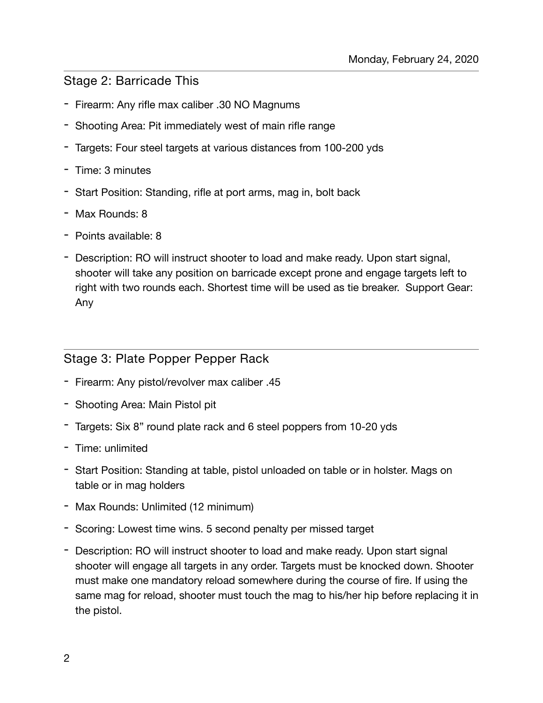#### Stage 2: Barricade This

- Firearm: Any rifle max caliber .30 NO Magnums
- Shooting Area: Pit immediately west of main rifle range
- Targets: Four steel targets at various distances from 100-200 yds
- Time: 3 minutes
- Start Position: Standing, rifle at port arms, mag in, bolt back
- Max Rounds: 8
- Points available: 8
- Description: RO will instruct shooter to load and make ready. Upon start signal, shooter will take any position on barricade except prone and engage targets left to right with two rounds each. Shortest time will be used as tie breaker. Support Gear: Any

#### Stage 3: Plate Popper Pepper Rack

- Firearm: Any pistol/revolver max caliber .45
- Shooting Area: Main Pistol pit
- Targets: Six 8" round plate rack and 6 steel poppers from 10-20 yds
- Time: unlimited
- Start Position: Standing at table, pistol unloaded on table or in holster. Mags on table or in mag holders
- Max Rounds: Unlimited (12 minimum)
- Scoring: Lowest time wins. 5 second penalty per missed target
- Description: RO will instruct shooter to load and make ready. Upon start signal shooter will engage all targets in any order. Targets must be knocked down. Shooter must make one mandatory reload somewhere during the course of fire. If using the same mag for reload, shooter must touch the mag to his/her hip before replacing it in the pistol.